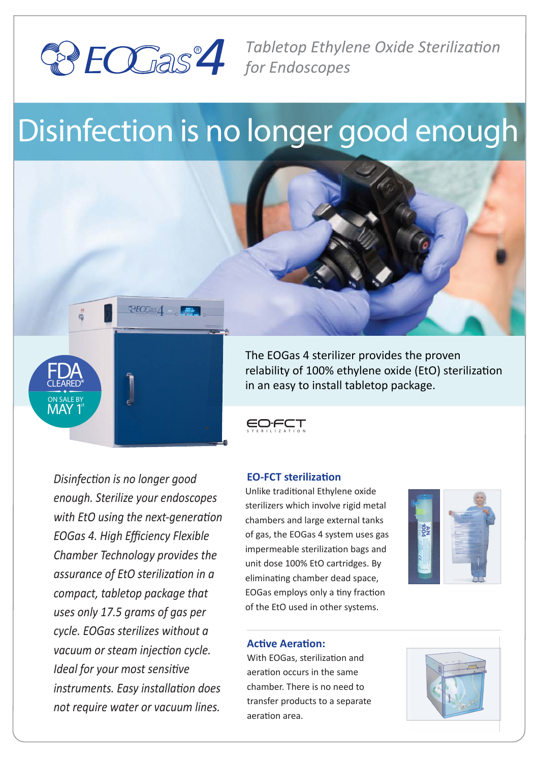

*4 Tabletop Ethylene Oxide Sterilization for Endoscopes*

# Disinfection is no longer good enough







## **EO-FCT sterilization**

Unlike tradi�onal Ethylene oxide sterilizers which involve rigid metal chambers and large external tanks of gas, the EOGas 4 system uses gas impermeable sterilization bags and unit dose 100% EtO cartridges. By eliminating chamber dead space, EOGas employs only a tiny fraction of the EtO used in other systems.



*enough. Sterilize your endoscopes with EtO using the next-generation EOGas 4. High Efficiency Flexible Chamber Technology provides the assurance of EtO sterilization in a compact, tabletop package that uses only 17.5 grams of gas per cycle. EOGas sterilizes without a vacuum or steam injection cycle. Ideal for your most sensitive instruments. Easy installation does not require water or vacuum lines.*

*Disinfection is no longer good* 

FDA CLEARED\* ON SALE BY MAY 1

st

#### **Active Aeration:**

With EOGas, sterilization and aeration occurs in the same chamber. There is no need to transfer products to a separate aeration area.